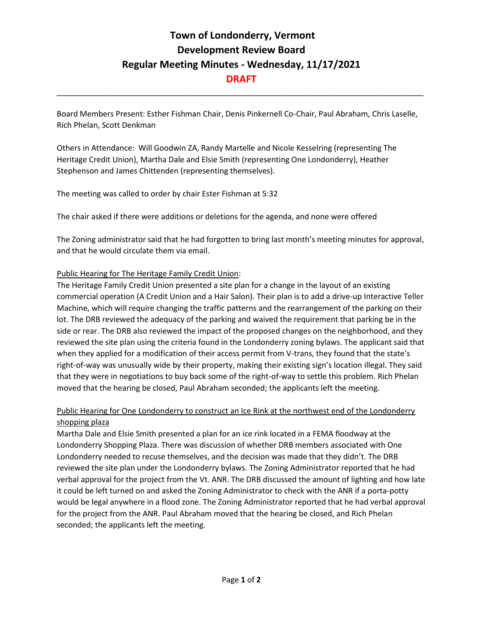## **Town of Londonderry, Vermont Development Review Board Regular Meeting Minutes - Wednesday, 11/17/2021 DRAFT**

Board Members Present: Esther Fishman Chair, Denis Pinkernell Co-Chair, Paul Abraham, Chris Laselle, Rich Phelan, Scott Denkman

\_\_\_\_\_\_\_\_\_\_\_\_\_\_\_\_\_\_\_\_\_\_\_\_\_\_\_\_\_\_\_\_\_\_\_\_\_\_\_\_\_\_\_\_\_\_\_\_\_\_\_\_\_\_\_\_\_\_\_\_\_\_\_\_\_\_\_\_\_\_\_\_\_\_\_\_\_\_\_\_\_\_\_\_\_

Others in Attendance: Will Goodwin ZA, Randy Martelle and Nicole Kesselring (representing The Heritage Credit Union), Martha Dale and Elsie Smith (representing One Londonderry), Heather Stephenson and James Chittenden (representing themselves).

The meeting was called to order by chair Ester Fishman at 5:32

The chair asked if there were additions or deletions for the agenda, and none were offered

The Zoning administrator said that he had forgotten to bring last month's meeting minutes for approval, and that he would circulate them via email.

## Public Hearing for The Heritage Family Credit Union:

The Heritage Family Credit Union presented a site plan for a change in the layout of an existing commercial operation (A Credit Union and a Hair Salon). Their plan is to add a drive-up Interactive Teller Machine, which will require changing the traffic patterns and the rearrangement of the parking on their lot. The DRB reviewed the adequacy of the parking and waived the requirement that parking be in the side or rear. The DRB also reviewed the impact of the proposed changes on the neighborhood, and they reviewed the site plan using the criteria found in the Londonderry zoning bylaws. The applicant said that when they applied for a modification of their access permit from V-trans, they found that the state's right-of-way was unusually wide by their property, making their existing sign's location illegal. They said that they were in negotiations to buy back some of the right-of-way to settle this problem. Rich Phelan moved that the hearing be closed, Paul Abraham seconded; the applicants left the meeting.

## Public Hearing for One Londonderry to construct an Ice Rink at the northwest end of the Londonderry shopping plaza

Martha Dale and Elsie Smith presented a plan for an ice rink located in a FEMA floodway at the Londonderry Shopping Plaza. There was discussion of whether DRB members associated with One Londonderry needed to recuse themselves, and the decision was made that they didn't. The DRB reviewed the site plan under the Londonderry bylaws. The Zoning Administrator reported that he had verbal approval for the project from the Vt. ANR. The DRB discussed the amount of lighting and how late it could be left turned on and asked the Zoning Administrator to check with the ANR if a porta-potty would be legal anywhere in a flood zone. The Zoning Administrator reported that he had verbal approval for the project from the ANR. Paul Abraham moved that the hearing be closed, and Rich Phelan seconded; the applicants left the meeting.